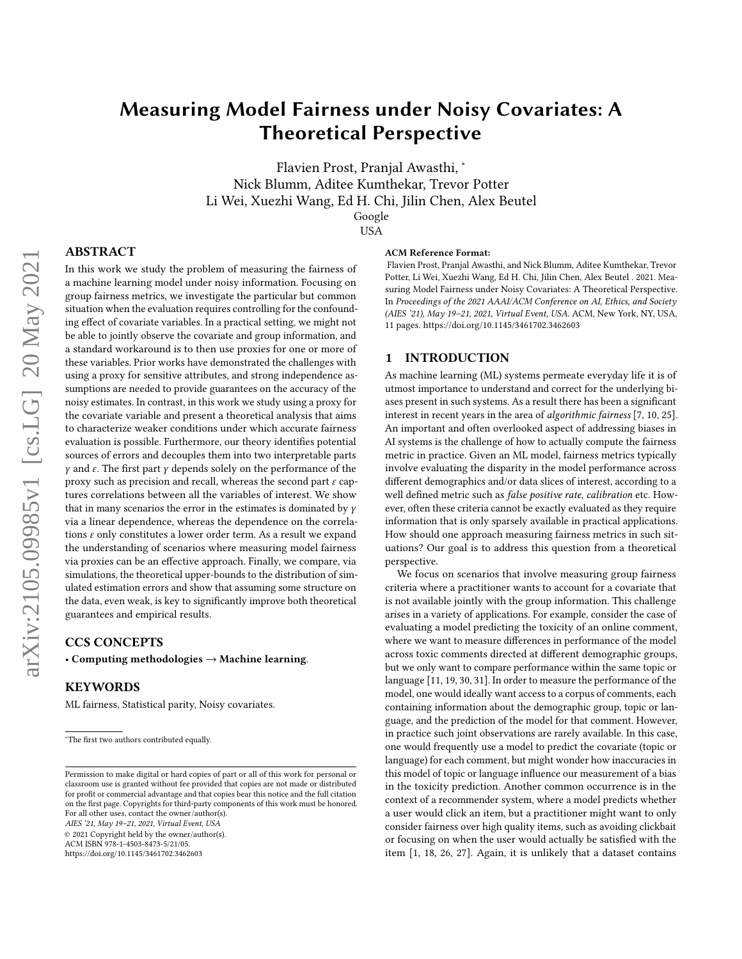# Measuring Model Fairness under Noisy Covariates: A Theoretical Perspective

Flavien Prost, Pranjal Awasthi, <sup>∗</sup> Nick Blumm, Aditee Kumthekar, Trevor Potter Li Wei, Xuezhi Wang, Ed H. Chi, Jilin Chen, Alex Beutel Google

#### USA

# ABSTRACT

In this work we study the problem of measuring the fairness of a machine learning model under noisy information. Focusing on group fairness metrics, we investigate the particular but common situation when the evaluation requires controlling for the confounding effect of covariate variables. In a practical setting, we might not be able to jointly observe the covariate and group information, and a standard workaround is to then use proxies for one or more of these variables. Prior works have demonstrated the challenges with using a proxy for sensitive attributes, and strong independence assumptions are needed to provide guarantees on the accuracy of the noisy estimates. In contrast, in this work we study using a proxy for the covariate variable and present a theoretical analysis that aims to characterize weaker conditions under which accurate fairness evaluation is possible. Furthermore, our theory identifies potential sources of errors and decouples them into two interpretable parts  $\gamma$  and  $\varepsilon$ . The first part  $\gamma$  depends solely on the performance of the proxy such as precision and recall, whereas the second part  $\varepsilon$  captures correlations between all the variables of interest. We show that in many scenarios the error in the estimates is dominated by  $\gamma$ via a linear dependence, whereas the dependence on the correlations  $\varepsilon$  only constitutes a lower order term. As a result we expand the understanding of scenarios where measuring model fairness via proxies can be an effective approach. Finally, we compare, via simulations, the theoretical upper-bounds to the distribution of simulated estimation errors and show that assuming some structure on the data, even weak, is key to significantly improve both theoretical guarantees and empirical results.

#### CCS CONCEPTS

• Computing methodologies → Machine learning.

#### KEYWORDS

ML fairness, Statistical parity, Noisy covariates.

AIES '21, May 19–21, 2021, Virtual Event, USA

© 2021 Copyright held by the owner/author(s).

ACM ISBN 978-1-4503-8473-5/21/05.

<https://doi.org/10.1145/3461702.3462603>

#### ACM Reference Format:

Flavien Prost, Pranjal Awasthi, and Nick Blumm, Aditee Kumthekar, Trevor Potter, Li Wei, Xuezhi Wang, Ed H. Chi, Jilin Chen, Alex Beutel . 2021. Measuring Model Fairness under Noisy Covariates: A Theoretical Perspective. In Proceedings of the 2021 AAAI/ACM Conference on AI, Ethics, and Society (AIES '21), May 19–21, 2021, Virtual Event, USA. ACM, New York, NY, USA, [11](#page-10-0) pages.<https://doi.org/10.1145/3461702.3462603>

## <span id="page-0-0"></span>1 INTRODUCTION

As machine learning (ML) systems permeate everyday life it is of utmost importance to understand and correct for the underlying biases present in such systems. As a result there has been a significant interest in recent years in the area of algorithmic fairness [\[7,](#page-9-0) [10,](#page-9-1) [25\]](#page-10-1). An important and often overlooked aspect of addressing biases in AI systems is the challenge of how to actually compute the fairness metric in practice. Given an ML model, fairness metrics typically involve evaluating the disparity in the model performance across different demographics and/or data slices of interest, according to a well defined metric such as false positive rate, calibration etc. However, often these criteria cannot be exactly evaluated as they require information that is only sparsely available in practical applications. How should one approach measuring fairness metrics in such situations? Our goal is to address this question from a theoretical perspective.

We focus on scenarios that involve measuring group fairness criteria where a practitioner wants to account for a covariate that is not available jointly with the group information. This challenge arises in a variety of applications. For example, consider the case of evaluating a model predicting the toxicity of an online comment, where we want to measure differences in performance of the model across toxic comments directed at different demographic groups, but we only want to compare performance within the same topic or language [\[11,](#page-9-2) [19,](#page-10-2) [30,](#page-10-3) [31\]](#page-10-4). In order to measure the performance of the model, one would ideally want access to a corpus of comments, each containing information about the demographic group, topic or language, and the prediction of the model for that comment. However, in practice such joint observations are rarely available. In this case, one would frequently use a model to predict the covariate (topic or language) for each comment, but might wonder how inaccuracies in this model of topic or language influence our measurement of a bias in the toxicity prediction. Another common occurrence is in the context of a recommender system, where a model predicts whether a user would click an item, but a practitioner might want to only consider fairness over high quality items, such as avoiding clickbait or focusing on when the user would actually be satisfied with the item [\[1,](#page-9-3) [18,](#page-10-5) [26,](#page-10-6) [27\]](#page-10-7). Again, it is unlikely that a dataset contains

<sup>∗</sup>The first two authors contributed equally.

Permission to make digital or hard copies of part or all of this work for personal or classroom use is granted without fee provided that copies are not made or distributed for profit or commercial advantage and that copies bear this notice and the full citation on the first page. Copyrights for third-party components of this work must be honored. For all other uses, contact the owner/author(s).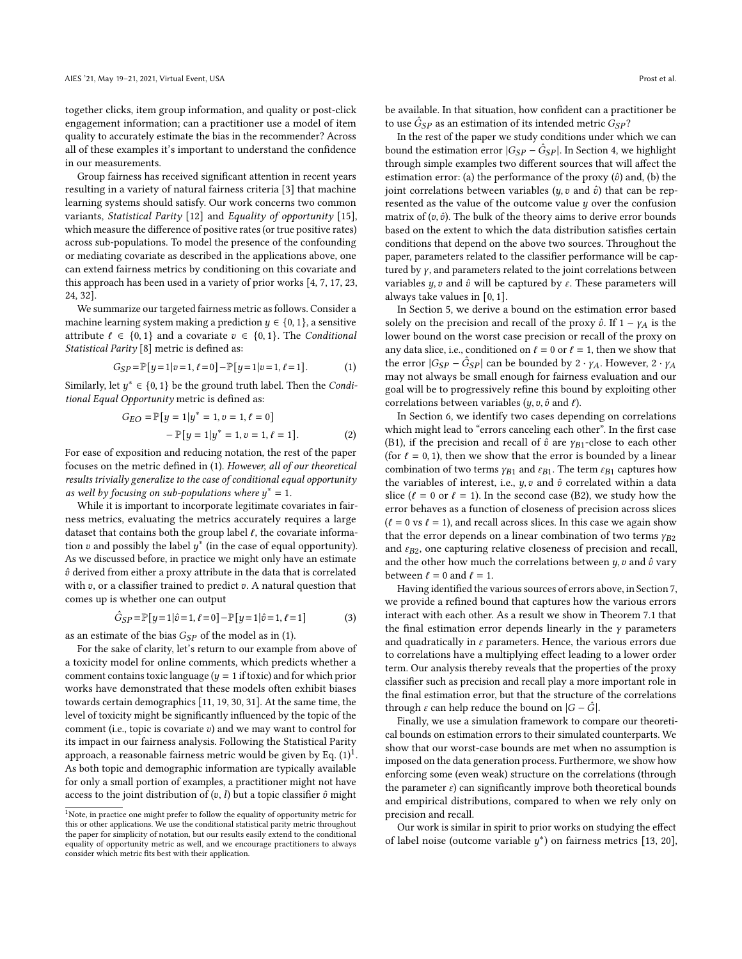together clicks, item group information, and quality or post-click engagement information; can a practitioner use a model of item quality to accurately estimate the bias in the recommender? Across all of these examples it's important to understand the confidence in our measurements.

Group fairness has received significant attention in recent years resulting in a variety of natural fairness criteria [\[3\]](#page-9-4) that machine learning systems should satisfy. Our work concerns two common variants, Statistical Parity [\[12\]](#page-9-5) and Equality of opportunity [\[15\]](#page-9-6), which measure the difference of positive rates (or true positive rates) across sub-populations. To model the presence of the confounding or mediating covariate as described in the applications above, one can extend fairness metrics by conditioning on this covariate and this approach has been used in a variety of prior works [\[4,](#page-9-7) [7,](#page-9-0) [17,](#page-10-8) [23,](#page-10-9) [24,](#page-10-10) [32\]](#page-10-11).

We summarize our targeted fairness metric as follows. Consider a machine learning system making a prediction  $y \in \{0, 1\}$ , a sensitive attribute  $\ell \in \{0, 1\}$  and a covariate  $v \in \{0, 1\}$ . The Conditional Statistical Parity [\[8\]](#page-9-8) metric is defined as:

$$
G_{SP} = \mathbb{P}[y=1|v=1, \ell=0] - \mathbb{P}[y=1|v=1, \ell=1]. \tag{1}
$$

Similarly, let  $y^* \in \{0, 1\}$  be the ground truth label. Then the *Condi*tional Equal Opportunity metric is defined as:

$$
G_{EO} = \mathbb{P}[y = 1|y^* = 1, v = 1, \ell = 0] - \mathbb{P}[y = 1|y^* = 1, v = 1, \ell = 1].
$$
 (2)

For ease of exposition and reducing notation, the rest of the paper focuses on the metric defined in [\(1\)](#page-1-0). However, all of our theoretical results trivially generalize to the case of conditional equal opportunity as well by focusing on sub-populations where  $y^* = 1$ .

While it is important to incorporate legitimate covariates in fairness metrics, evaluating the metrics accurately requires a large dataset that contains both the group label  $\ell$ , the covariate information v and possibly the label  $u^*$  (in the case of equal opportunity). As we discussed before, in practice we might only have an estimate  $\hat{v}$  derived from either a proxy attribute in the data that is correlated with  $v$ , or a classifier trained to predict  $v$ . A natural question that comes up is whether one can output

$$
\hat{G}_{SP} = \mathbb{P}[y=1|\hat{v}=1,\ell=0] - \mathbb{P}[y=1|\hat{v}=1,\ell=1]
$$
 (3)

as an estimate of the bias  $G_{SP}$  of the model as in [\(1\)](#page-1-0).

For the sake of clarity, let's return to our example from above of a toxicity model for online comments, which predicts whether a comment contains toxic language ( $y = 1$  if toxic) and for which prior works have demonstrated that these models often exhibit biases towards certain demographics [\[11,](#page-9-2) [19,](#page-10-2) [30,](#page-10-3) [31\]](#page-10-4). At the same time, the level of toxicity might be significantly influenced by the topic of the comment (i.e., topic is covariate  $v$ ) and we may want to control for its impact in our fairness analysis. Following the Statistical Parity approach, a reasonable fairness metric would be given by Eq.  $(1)^1$  $(1)^1$  $(1)^1$ . As both topic and demographic information are typically available for only a small portion of examples, a practitioner might not have access to the joint distribution of  $(v, l)$  but a topic classifier  $\hat{v}$  might

be available. In that situation, how confident can a practitioner be to use  $\hat{G}_{SP}$  as an estimation of its intended metric  $G_{SP}$ ?

In the rest of the paper we study conditions under which we can bound the estimation error  $|G_{SP} - \hat{G}_{SP}|$ . In Section [4,](#page-3-0) we highlight through simple examples two different sources that will affect the estimation error: (a) the performance of the proxy  $(\hat{v})$  and, (b) the joint correlations between variables  $(y, v$  and  $\hat{v}$ ) that can be represented as the value of the outcome value  $y$  over the confusion matrix of  $(v, \hat{v})$ . The bulk of the theory aims to derive error bounds based on the extent to which the data distribution satisfies certain conditions that depend on the above two sources. Throughout the paper, parameters related to the classifier performance will be captured by  $\gamma$ , and parameters related to the joint correlations between variables  $y$ ,  $v$  and  $\hat{v}$  will be captured by  $\varepsilon$ . These parameters will always take values in [0, 1].

<span id="page-1-0"></span>In Section [5,](#page-4-0) we derive a bound on the estimation error based solely on the precision and recall of the proxy  $\hat{v}$ . If  $1 - \gamma_A$  is the lower bound on the worst case precision or recall of the proxy on any data slice, i.e., conditioned on  $\ell = 0$  or  $\ell = 1$ , then we show that the error  $|G_{SP} - \hat{G}_{SP}|$  can be bounded by  $2 \cdot \gamma_A$ . However,  $2 \cdot \gamma_A$ may not always be small enough for fairness evaluation and our goal will be to progressively refine this bound by exploiting other correlations between variables  $(y, v, \hat{v} \text{ and } \ell)$ .

<span id="page-1-2"></span>In Section [6,](#page-5-0) we identify two cases depending on correlations which might lead to "errors canceling each other". In the first case (B1), if the precision and recall of  $\hat{v}$  are  $\gamma_{B1}$ -close to each other (for  $l = 0, 1$ ), then we show that the error is bounded by a linear combination of two terms  $\gamma_{B1}$  and  $\varepsilon_{B1}$ . The term  $\varepsilon_{B1}$  captures how the variables of interest, i.e.,  $y, v$  and  $\hat{v}$  correlated within a data slice ( $\ell = 0$  or  $\ell = 1$ ). In the second case (B2), we study how the error behaves as a function of closeness of precision across slices  $(\ell = 0 \text{ vs } \ell = 1)$ , and recall across slices. In this case we again show that the error depends on a linear combination of two terms  $\gamma_{B2}$ and  $\varepsilon_{B2}$ , one capturing relative closeness of precision and recall, and the other how much the correlations between  $y$ ,  $v$  and  $\hat{v}$  vary between  $\ell = 0$  and  $\ell = 1$ .

Having identified the various sources of errors above, in Section [7,](#page-6-0) we provide a refined bound that captures how the various errors interact with each other. As a result we show in Theorem [7.1](#page-6-1) that the final estimation error depends linearly in the  $\gamma$  parameters and quadratically in  $\varepsilon$  parameters. Hence, the various errors due to correlations have a multiplying effect leading to a lower order term. Our analysis thereby reveals that the properties of the proxy classifier such as precision and recall play a more important role in the final estimation error, but that the structure of the correlations through  $\varepsilon$  can help reduce the bound on  $|G - \hat{G}|$ .

Finally, we use a simulation framework to compare our theoretical bounds on estimation errors to their simulated counterparts. We show that our worst-case bounds are met when no assumption is imposed on the data generation process. Furthermore, we show how enforcing some (even weak) structure on the correlations (through the parameter  $\varepsilon$ ) can significantly improve both theoretical bounds and empirical distributions, compared to when we rely only on precision and recall.

Our work is similar in spirit to prior works on studying the effect of label noise (outcome variable  $u^*$ ) on fairness metrics [\[13,](#page-9-9) [20\]](#page-10-12).

<span id="page-1-1"></span><sup>&</sup>lt;sup>1</sup>Note, in practice one might prefer to follow the equality of opportunity metric for this or other applications. We use the conditional statistical parity metric throughout the paper for simplicity of notation, but our results easily extend to the conditional equality of opportunity metric as well, and we encourage practitioners to always consider which metric fits best with their application.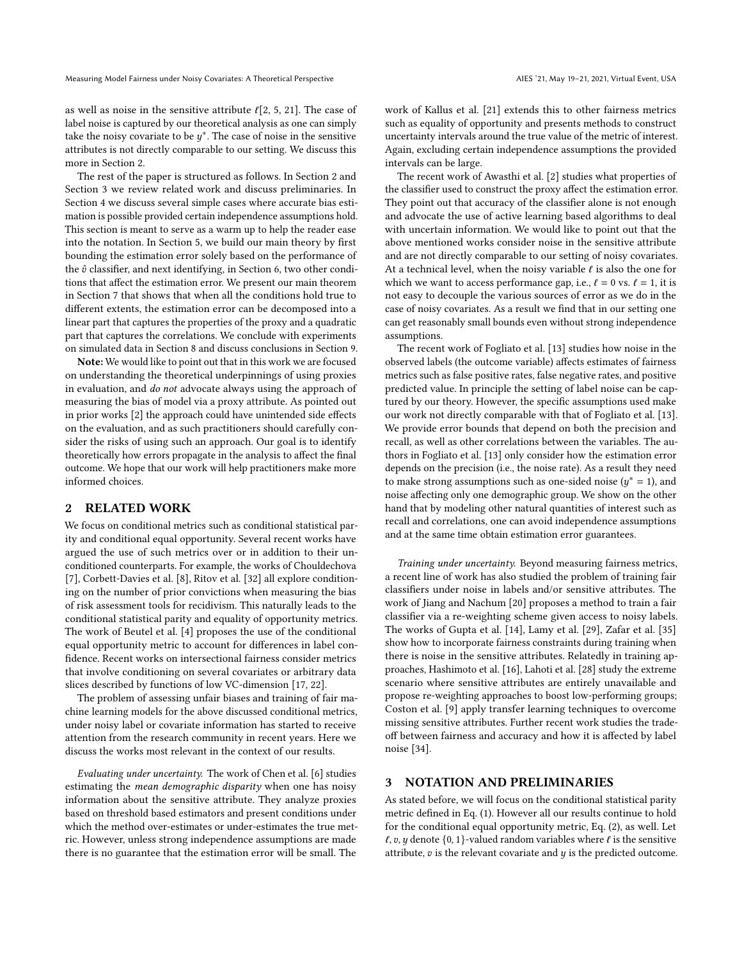as well as noise in the sensitive attribute  $\ell$ [\[2,](#page-9-10) [5,](#page-9-11) [21\]](#page-10-13). The case of label noise is captured by our theoretical analysis as one can simply take the noisy covariate to be  $u^*$ . The case of noise in the sensitive attributes is not directly comparable to our setting. We discuss this more in Section [2.](#page-2-0)

The rest of the paper is structured as follows. In Section [2](#page-2-0) and Section [3](#page-2-1) we review related work and discuss preliminaries. In Section [4](#page-3-0) we discuss several simple cases where accurate bias estimation is possible provided certain independence assumptions hold. This section is meant to serve as a warm up to help the reader ease into the notation. In Section [5,](#page-4-0) we build our main theory by first bounding the estimation error solely based on the performance of the  $\hat{v}$  classifier, and next identifying, in Section [6,](#page-5-0) two other conditions that affect the estimation error. We present our main theorem in Section [7](#page-6-0) that shows that when all the conditions hold true to different extents, the estimation error can be decomposed into a linear part that captures the properties of the proxy and a quadratic part that captures the correlations. We conclude with experiments on simulated data in Section [8](#page-7-0) and discuss conclusions in Section [9.](#page-9-12)

Note: We would like to point out that in this work we are focused on understanding the theoretical underpinnings of using proxies in evaluation, and do not advocate always using the approach of measuring the bias of model via a proxy attribute. As pointed out in prior works [\[2\]](#page-9-10) the approach could have unintended side effects on the evaluation, and as such practitioners should carefully consider the risks of using such an approach. Our goal is to identify theoretically how errors propagate in the analysis to affect the final outcome. We hope that our work will help practitioners make more informed choices.

## <span id="page-2-0"></span>2 RELATED WORK

We focus on conditional metrics such as conditional statistical parity and conditional equal opportunity. Several recent works have argued the use of such metrics over or in addition to their unconditioned counterparts. For example, the works of Chouldechova [\[7\]](#page-9-0), Corbett-Davies et al. [\[8\]](#page-9-8), Ritov et al. [\[32\]](#page-10-11) all explore conditioning on the number of prior convictions when measuring the bias of risk assessment tools for recidivism. This naturally leads to the conditional statistical parity and equality of opportunity metrics. The work of Beutel et al. [\[4\]](#page-9-7) proposes the use of the conditional equal opportunity metric to account for differences in label confidence. Recent works on intersectional fairness consider metrics that involve conditioning on several covariates or arbitrary data slices described by functions of low VC-dimension [\[17,](#page-10-8) [22\]](#page-10-14).

The problem of assessing unfair biases and training of fair machine learning models for the above discussed conditional metrics, under noisy label or covariate information has started to receive attention from the research community in recent years. Here we discuss the works most relevant in the context of our results.

Evaluating under uncertainty. The work of Chen et al. [\[6\]](#page-9-13) studies estimating the mean demographic disparity when one has noisy information about the sensitive attribute. They analyze proxies based on threshold based estimators and present conditions under which the method over-estimates or under-estimates the true metric. However, unless strong independence assumptions are made there is no guarantee that the estimation error will be small. The

work of Kallus et al. [\[21\]](#page-10-13) extends this to other fairness metrics such as equality of opportunity and presents methods to construct uncertainty intervals around the true value of the metric of interest. Again, excluding certain independence assumptions the provided intervals can be large.

The recent work of Awasthi et al. [\[2\]](#page-9-10) studies what properties of the classifier used to construct the proxy affect the estimation error. They point out that accuracy of the classifier alone is not enough and advocate the use of active learning based algorithms to deal with uncertain information. We would like to point out that the above mentioned works consider noise in the sensitive attribute and are not directly comparable to our setting of noisy covariates. At a technical level, when the noisy variable  $\ell$  is also the one for which we want to access performance gap, i.e.,  $\ell = 0$  vs.  $\ell = 1$ , it is not easy to decouple the various sources of error as we do in the case of noisy covariates. As a result we find that in our setting one can get reasonably small bounds even without strong independence assumptions.

The recent work of Fogliato et al. [\[13\]](#page-9-9) studies how noise in the observed labels (the outcome variable) affects estimates of fairness metrics such as false positive rates, false negative rates, and positive predicted value. In principle the setting of label noise can be captured by our theory. However, the specific assumptions used make our work not directly comparable with that of Fogliato et al. [\[13\]](#page-9-9). We provide error bounds that depend on both the precision and recall, as well as other correlations between the variables. The authors in Fogliato et al. [\[13\]](#page-9-9) only consider how the estimation error depends on the precision (i.e., the noise rate). As a result they need to make strong assumptions such as one-sided noise ( $y^* = 1$ ), and noise affecting only one demographic group. We show on the other hand that by modeling other natural quantities of interest such as recall and correlations, one can avoid independence assumptions and at the same time obtain estimation error guarantees.

Training under uncertainty. Beyond measuring fairness metrics, a recent line of work has also studied the problem of training fair classifiers under noise in labels and/or sensitive attributes. The work of Jiang and Nachum [\[20\]](#page-10-12) proposes a method to train a fair classifier via a re-weighting scheme given access to noisy labels. The works of Gupta et al. [\[14\]](#page-9-14), Lamy et al. [\[29\]](#page-10-15), Zafar et al. [\[35\]](#page-10-16) show how to incorporate fairness constraints during training when there is noise in the sensitive attributes. Relatedly in training approaches, Hashimoto et al. [\[16\]](#page-9-15), Lahoti et al. [\[28\]](#page-10-17) study the extreme scenario where sensitive attributes are entirely unavailable and propose re-weighting approaches to boost low-performing groups; Coston et al. [\[9\]](#page-9-16) apply transfer learning techniques to overcome missing sensitive attributes. Further recent work studies the tradeoff between fairness and accuracy and how it is affected by label noise [\[34\]](#page-10-18).

## <span id="page-2-1"></span>3 NOTATION AND PRELIMINARIES

As stated before, we will focus on the conditional statistical parity metric defined in Eq. [\(1\)](#page-1-0). However all our results continue to hold for the conditional equal opportunity metric, Eq. [\(2\)](#page-1-2), as well. Let  $l, v, y$  denote {0, 1}-valued random variables where  $l$  is the sensitive attribute,  $v$  is the relevant covariate and  $y$  is the predicted outcome.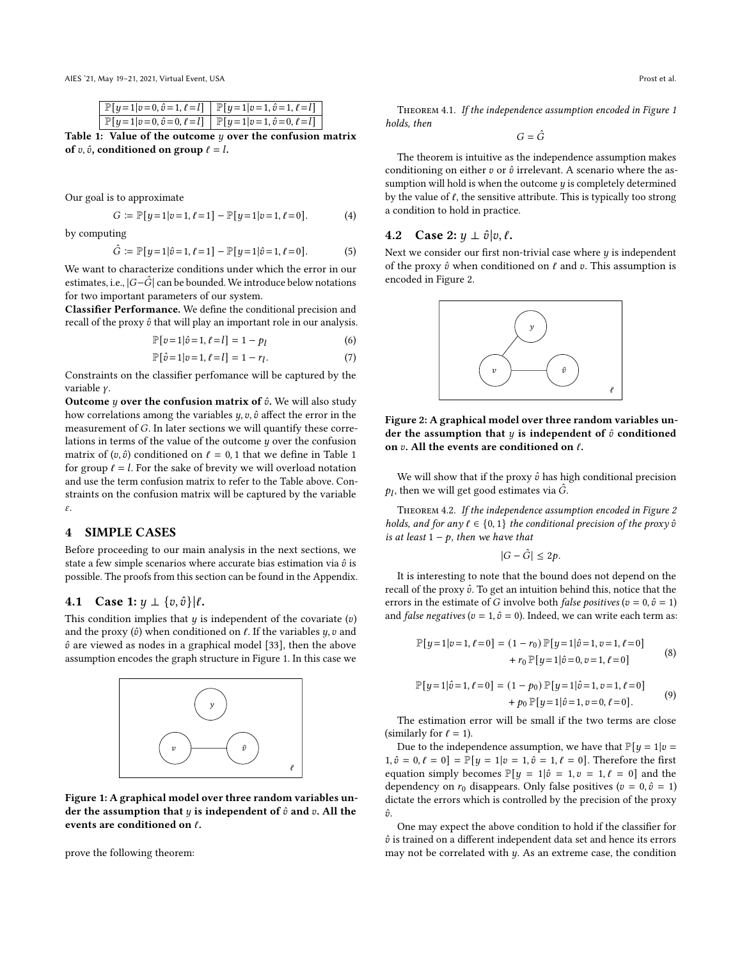<span id="page-3-1"></span>AIES '21, May 19–21, 2021, Virtual Event, USA Prost et al.

| $\mathbb{P}[y=1 v=0,\hat{v}=1,\ell=l] \mid \mathbb{P}[y=1 v=1,\hat{v}=1,\ell=l]$ |                                                                               |
|----------------------------------------------------------------------------------|-------------------------------------------------------------------------------|
|                                                                                  | $\mathbb{P}[y=1 v=0,\hat{v}=0,\ell=l]$ $\mathbb{P}[y=1 v=1,\hat{v}=0,\ell=l]$ |

Table 1: Value of the outcome  $y$  over the confusion matrix of  $v, \hat{v}$ , conditioned on group  $\ell = l$ .

Our goal is to approximate

$$
G := \mathbb{P}[y=1|v=1, \ell=1] - \mathbb{P}[y=1|v=1, \ell=0]. \tag{4}
$$

by computing

$$
\hat{G} := \mathbb{P}[y=1|\hat{v}=1, \ell=1] - \mathbb{P}[y=1|\hat{v}=1, \ell=0]. \tag{5}
$$

We want to characterize conditions under which the error in our estimates, i.e.,  $|G-\hat{G}|$  can be bounded. We introduce below notations for two important parameters of our system.

Classifier Performance. We define the conditional precision and recall of the proxy  $\hat{v}$  that will play an important role in our analysis.

$$
\mathbb{P}[v=1|\hat{v}=1,\ell=l] = 1 - p_l \tag{6}
$$

$$
\mathbb{P}[\hat{v} = 1 | v = 1, \ell = l] = 1 - r_l. \tag{7}
$$

Constraints on the classifier perfomance will be captured by the variable y.

Outcome  $y$  over the confusion matrix of  $\hat{v}$ . We will also study how correlations among the variables  $y$ ,  $v$ ,  $\hat{v}$  affect the error in the measurement of  $G$ . In later sections we will quantify these correlations in terms of the value of the outcome  $y$  over the confusion matrix of  $(v, \hat{v})$  conditioned on  $\ell = 0, 1$  $\ell = 0, 1$  that we define in Table 1 for group  $\ell = l$ . For the sake of brevity we will overload notation and use the term confusion matrix to refer to the Table above. Constraints on the confusion matrix will be captured by the variable  $\varepsilon$ .

## <span id="page-3-0"></span>4 SIMPLE CASES

Before proceeding to our main analysis in the next sections, we state a few simple scenarios where accurate bias estimation via  $\hat{v}$  is possible. The proofs from this section can be found in the Appendix.

#### 4.1 Case 1:  $y \perp \{v, \hat{v}\} | l$ .

This condition implies that  $y$  is independent of the covariate  $(v)$ and the proxy  $(\hat{v})$  when conditioned on  $\ell.$  If the variables  $y,v$  and  $\hat{v}$  are viewed as nodes in a graphical model [\[33\]](#page-10-19), then the above assumption encodes the graph structure in Figure [1.](#page-3-2) In this case we

<span id="page-3-2"></span>

Figure 1: A graphical model over three random variables under the assumption that  $y$  is independent of  $\hat{v}$  and  $v$ . All the events are conditioned on  $\ell$ .

prove the following theorem:

<span id="page-3-7"></span>Theorem 4.1. If the independence assumption encoded in Figure [1](#page-3-2) holds, then

 $G = \hat{G}$ 

The theorem is intuitive as the independence assumption makes conditioning on either  $v$  or  $\hat{v}$  irrelevant. A scenario where the assumption will hold is when the outcome  $y$  is completely determined by the value of  $\ell$ , the sensitive attribute. This is typically too strong a condition to hold in practice.

#### 4.2 Case 2:  $y \perp \hat{v}|v, l$ .

<span id="page-3-3"></span>Next we consider our first non-trivial case where  $y$  is independent of the proxy  $\hat{v}$  when conditioned on  $\ell$  and  $v$ . This assumption is encoded in Figure [2.](#page-3-3)



Figure 2: A graphical model over three random variables under the assumption that  $y$  is independent of  $\hat{v}$  conditioned on  $v$ . All the events are conditioned on  $\ell$ .

We will show that if the proxy  $\hat{v}$  has high conditional precision  $p_l$ , then we will get good estimates via  $\hat{G}$ .

<span id="page-3-4"></span>Theorem 4.2. If the independence assumption encoded in Figure [2](#page-3-3) holds, and for any  $\ell \in \{0, 1\}$  the conditional precision of the proxy  $\hat{v}$ is at least  $1 - p$ , then we have that

<span id="page-3-6"></span><span id="page-3-5"></span> $|G - \hat{G}| \leq 2p$ .

It is interesting to note that the bound does not depend on the recall of the proxy  $\hat{v}$ . To get an intuition behind this, notice that the errors in the estimate of G involve both *false positives* ( $v = 0$ ,  $\hat{v} = 1$ ) and *false negatives* ( $v = 1$ ,  $\hat{v} = 0$ ). Indeed, we can write each term as:

$$
\mathbb{P}[y=1|v=1,\ell=0] = (1-r_0)\mathbb{P}[y=1|\hat{v}=1,v=1,\ell=0] +r_0\mathbb{P}[y=1|\hat{v}=0,v=1,\ell=0]
$$
 (8)

$$
\mathbb{P}[y=1|\hat{v}=1,\ell=0] = (1-p_0)\mathbb{P}[y=1|\hat{v}=1,v=1,\ell=0] + p_0\mathbb{P}[y=1|\hat{v}=1,v=0,\ell=0].
$$
 (9)

The estimation error will be small if the two terms are close (similarly for  $\ell = 1$ ).

Due to the independence assumption, we have that  $\mathbb{P}[y = 1 | v =$  $1, \hat{v} = 0, \ell = 0$  =  $\mathbb{P}[y = 1 | v = 1, \hat{v} = 1, \ell = 0]$ . Therefore the first equation simply becomes  $\mathbb{P}[y = 1 | \hat{v} = 1, v = 1, \ell = 0]$  and the dependency on  $r_0$  disappears. Only false positives ( $v = 0, \hat{v} = 1$ ) dictate the errors which is controlled by the precision of the proxy  $\hat{n}$ 

One may expect the above condition to hold if the classifier for  $\hat{v}$  is trained on a different independent data set and hence its errors may not be correlated with  $y$ . As an extreme case, the condition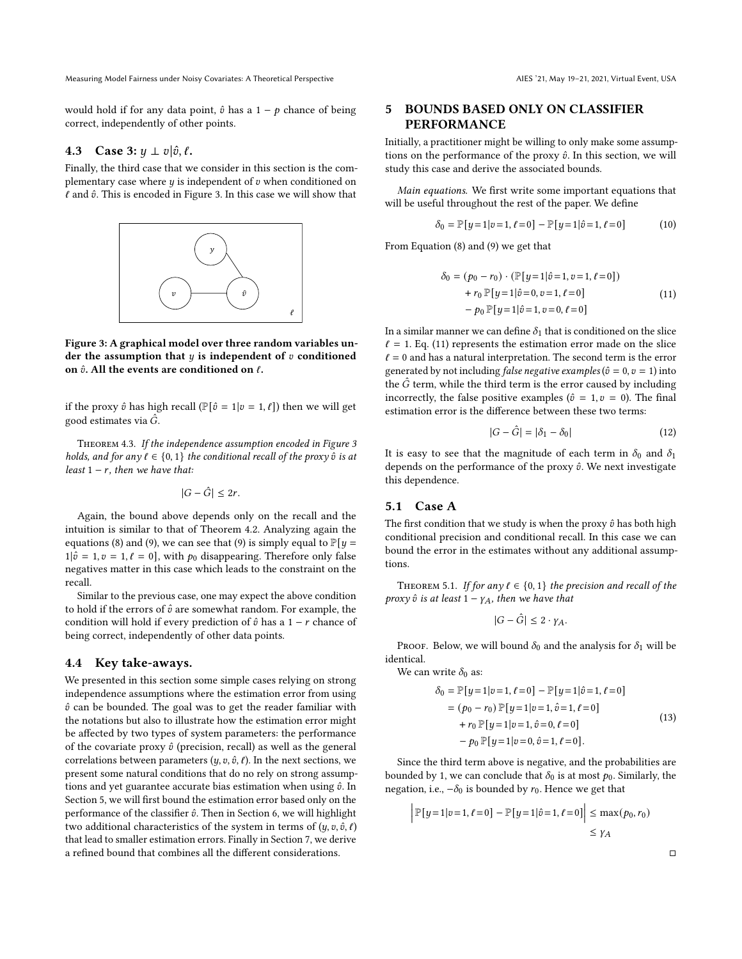Measuring Model Fairness under Noisy Covariates: A Theoretical Perspective AIES '21, May 19-21, 2021, Virtual Event, USA

would hold if for any data point,  $\hat{v}$  has a 1 –  $p$  chance of being correct, independently of other points.

## **4.3** Case 3:  $y \perp v | \hat{v}, \ell$ .

Finally, the third case that we consider in this section is the complementary case where  $y$  is independent of  $v$  when conditioned on  $\ell$  and  $\hat{v}$ . This is encoded in Figure [3.](#page-4-1) In this case we will show that

<span id="page-4-1"></span>

Figure 3: A graphical model over three random variables under the assumption that  $y$  is independent of  $v$  conditioned on  $\hat{v}$ . All the events are conditioned on  $\ell$ .

if the proxy  $\hat{v}$  has high recall ( $\mathbb{P}[\hat{v} = 1 | v = 1, \ell]$ ) then we will get good estimates via  $\hat{G}$ .

<span id="page-4-6"></span>Theorem 4.3. If the independence assumption encoded in Figure [3](#page-4-1) holds, and for any  $\ell \in \{0, 1\}$  the conditional recall of the proxy  $\hat{v}$  is at least  $1 - r$ , then we have that:

$$
|G - \hat{G}| \le 2r.
$$

Again, the bound above depends only on the recall and the intuition is similar to that of Theorem [4.2.](#page-3-4) Analyzing again the equations [\(8\)](#page-3-5) and [\(9\)](#page-3-6), we can see that (9) is simply equal to  $\mathbb{P}[y =$  $1|\hat{v} = 1, v = 1, \ell = 0$ , with  $p_0$  disappearing. Therefore only false negatives matter in this case which leads to the constraint on the recall.

Similar to the previous case, one may expect the above condition to hold if the errors of  $\hat{v}$  are somewhat random. For example, the condition will hold if every prediction of  $\hat{v}$  has a 1 − *r* chance of being correct, independently of other data points.

#### 4.4 Key take-aways.

We presented in this section some simple cases relying on strong independence assumptions where the estimation error from using  $\hat{v}$  can be bounded. The goal was to get the reader familiar with the notations but also to illustrate how the estimation error might be affected by two types of system parameters: the performance of the covariate proxy  $\hat{v}$  (precision, recall) as well as the general correlations between parameters  $(y, v, \hat{v}, \ell)$ . In the next sections, we present some natural conditions that do no rely on strong assumptions and yet guarantee accurate bias estimation when using  $\hat{v}$ . In Section [5,](#page-4-0) we will first bound the estimation error based only on the performance of the classifier  $\hat{v}$ . Then in Section [6,](#page-5-0) we will highlight two additional characteristics of the system in terms of  $(y, v, \hat{v}, \ell)$ that lead to smaller estimation errors. Finally in Section [7,](#page-6-0) we derive a refined bound that combines all the different considerations.

# <span id="page-4-0"></span>5 BOUNDS BASED ONLY ON CLASSIFIER PERFORMANCE

Initially, a practitioner might be willing to only make some assumptions on the performance of the proxy  $\hat{v}$ . In this section, we will study this case and derive the associated bounds.

Main equations. We first write some important equations that will be useful throughout the rest of the paper. We define

$$
\delta_0 = \mathbb{P}[y=1|v=1, \ell=0] - \mathbb{P}[y=1|\hat{v}=1, \ell=0] \tag{10}
$$

From Equation [\(8\)](#page-3-5) and [\(9\)](#page-3-6) we get that

<span id="page-4-2"></span>
$$
\delta_0 = (p_0 - r_0) \cdot (\mathbb{P}[y=1|\hat{v}=1, v=1, \ell=0]) + r_0 \mathbb{P}[y=1|\hat{v}=0, v=1, \ell=0] - p_0 \mathbb{P}[y=1|\hat{v}=1, v=0, \ell=0]
$$
(11)

In a similar manner we can define  $\delta_1$  that is conditioned on the slice  $\ell = 1$ . Eq. [\(11\)](#page-4-2) represents the estimation error made on the slice  $\ell = 0$  and has a natural interpretation. The second term is the error generated by not including *false negative examples* ( $\hat{v} = 0, v = 1$ ) into the  $\hat{G}$  term, while the third term is the error caused by including incorrectly, the false positive examples ( $\hat{v} = 1, v = 0$ ). The final estimation error is the difference between these two terms:

$$
|G - \hat{G}| = |\delta_1 - \delta_0| \tag{12}
$$

It is easy to see that the magnitude of each term in  $\delta_0$  and  $\delta_1$ depends on the performance of the proxy  $\hat{v}$ . We next investigate this dependence.

## <span id="page-4-4"></span>5.1 Case A

The first condition that we study is when the proxy  $\hat{v}$  has both high conditional precision and conditional recall. In this case we can bound the error in the estimates without any additional assumptions.

<span id="page-4-3"></span>THEOREM 5.1. If for any  $\ell \in \{0, 1\}$  the precision and recall of the proxy  $\hat{v}$  is at least  $1 - \gamma_A$ , then we have that

<span id="page-4-5"></span>
$$
|G - \hat{G}| \le 2 \cdot \gamma_A.
$$

PROOF. Below, we will bound  $\delta_0$  and the analysis for  $\delta_1$  will be identical.

We can write  $\delta_0$  as:

$$
\delta_0 = \mathbb{P}[y=1|v=1, \ell=0] - \mathbb{P}[y=1|\hat{v}=1, \ell=0]
$$
  
=  $(p_0 - r_0) \mathbb{P}[y=1|v=1, \hat{v}=1, \ell=0]$   
+  $r_0 \mathbb{P}[y=1|v=1, \hat{v}=0, \ell=0]$   
-  $p_0 \mathbb{P}[y=1|v=0, \hat{v}=1, \ell=0].$  (13)

Since the third term above is negative, and the probabilities are bounded by 1, we can conclude that  $\delta_0$  is at most  $p_0$ . Similarly, the negation, i.e.,  $-\delta_0$  is bounded by  $r_0$ . Hence we get that

$$
\left| \mathbb{P}[y=1 | v=1, \ell=0] - \mathbb{P}[y=1 | \hat{v}=1, \ell=0] \right| \le \max(p_0, r_0) \le \gamma_A
$$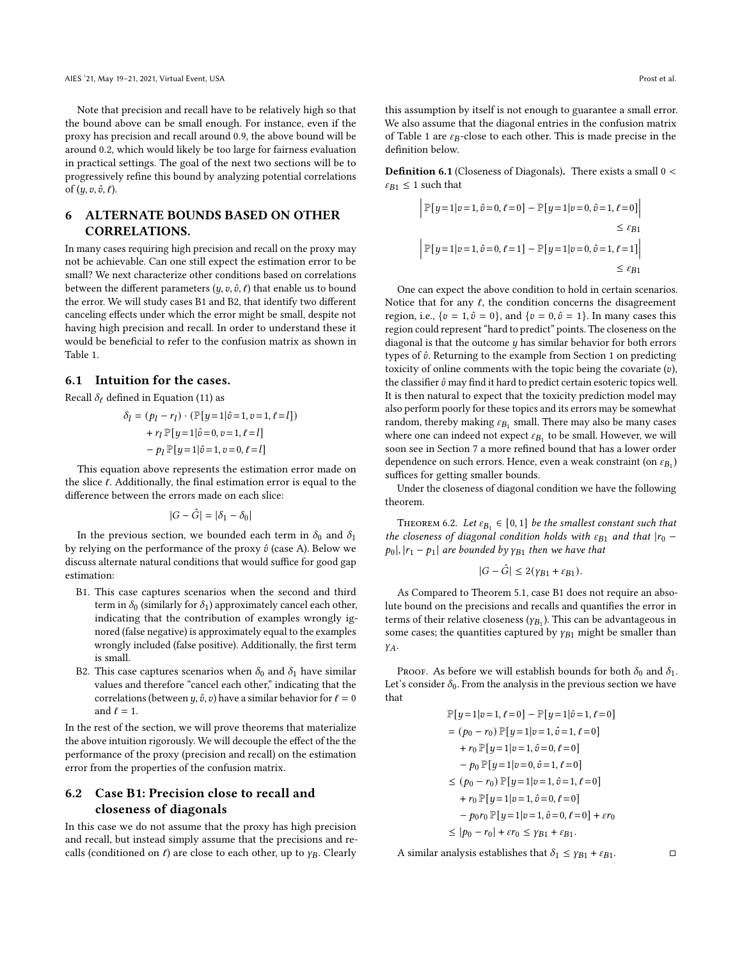Note that precision and recall have to be relatively high so that the bound above can be small enough. For instance, even if the proxy has precision and recall around 0.9, the above bound will be around 0.2, which would likely be too large for fairness evaluation in practical settings. The goal of the next two sections will be to progressively refine this bound by analyzing potential correlations of  $(y, v, \hat{v}, \ell)$ .

# <span id="page-5-0"></span>6 ALTERNATE BOUNDS BASED ON OTHER CORRELATIONS.

In many cases requiring high precision and recall on the proxy may not be achievable. Can one still expect the estimation error to be small? We next characterize other conditions based on correlations between the different parameters  $(y, v, \hat{v}, \ell)$  that enable us to bound the error. We will study cases B1 and B2, that identify two different canceling effects under which the error might be small, despite not having high precision and recall. In order to understand these it would be beneficial to refer to the confusion matrix as shown in Table [1.](#page-3-1)

# 6.1 Intuition for the cases.

Recall  $\delta_{\ell}$  defined in Equation [\(11\)](#page-4-2) as

$$
\delta_l = (p_l - r_l) \cdot (\mathbb{P}[y=1 | \hat{v}=1, v=1, \ell=l]) + r_l \mathbb{P}[y=1 | \hat{v}=0, v=1, \ell=l] - p_l \mathbb{P}[y=1 | \hat{v}=1, v=0, \ell=l]
$$

This equation above represents the estimation error made on the slice  $\ell$ . Additionally, the final estimation error is equal to the difference between the errors made on each slice:

$$
|G - \hat{G}| = |\delta_1 - \delta_0|
$$

In the previous section, we bounded each term in  $\delta_0$  and  $\delta_1$ by relying on the performance of the proxy  $\hat{v}$  (case A). Below we discuss alternate natural conditions that would suffice for good gap estimation:

- B1. This case captures scenarios when the second and third term in  $\delta_0$  (similarly for  $\delta_1$ ) approximately cancel each other, indicating that the contribution of examples wrongly ignored (false negative) is approximately equal to the examples wrongly included (false positive). Additionally, the first term is small.
- B2. This case captures scenarios when  $\delta_0$  and  $\delta_1$  have similar values and therefore "cancel each other," indicating that the correlations (between  $y$ ,  $\hat{v}$ ,  $v$ ) have a similar behavior for  $\ell = 0$ and  $\ell = 1$ .

In the rest of the section, we will prove theorems that materialize the above intuition rigorously. We will decouple the effect of the the performance of the proxy (precision and recall) on the estimation error from the properties of the confusion matrix.

# 6.2 Case B1: Precision close to recall and closeness of diagonals

In this case we do not assume that the proxy has high precision and recall, but instead simply assume that the precisions and recalls (conditioned on  $\ell$ ) are close to each other, up to  $\gamma_B$ . Clearly

this assumption by itself is not enough to guarantee a small error. We also assume that the diagonal entries in the confusion matrix of Table [1](#page-3-1) are  $\varepsilon_B$ -close to each other. This is made precise in the definition below.

Definition 6.1 (Closeness of Diagonals). There exists a small 0 <  $\varepsilon_{B1} \leq 1$  such that

$$
\begin{aligned} \left| \mathbb{P}[y=1|v=1,\hat{v}=0,\ell=0]-\mathbb{P}[y=1|v=0,\hat{v}=1,\ell=0] \right| \\ &\leq \varepsilon_{B1} \\ \left| \mathbb{P}[y=1|v=1,\hat{v}=0,\ell=1]-\mathbb{P}[y=1|v=0,\hat{v}=1,\ell=1] \right| \\ &\leq \varepsilon_{B1} \end{aligned}
$$

One can expect the above condition to hold in certain scenarios. Notice that for any  $\ell$ , the condition concerns the disagreement region, i.e.,  $\{v = 1, \hat{v} = 0\}$ , and  $\{v = 0, \hat{v} = 1\}$ . In many cases this region could represent "hard to predict" points. The closeness on the diagonal is that the outcome  $y$  has similar behavior for both errors types of  $\hat{v}$ . Returning to the example from Section [1](#page-0-0) on predicting toxicity of online comments with the topic being the covariate  $(v)$ , the classifier  $\hat{v}$  may find it hard to predict certain esoteric topics well. It is then natural to expect that the toxicity prediction model may also perform poorly for these topics and its errors may be somewhat random, thereby making  $\varepsilon_{B_1}$  small. There may also be many cases where one can indeed not expect  $\varepsilon_{B_1}$  to be small. However, we will soon see in Section [7](#page-6-0) a more refined bound that has a lower order dependence on such errors. Hence, even a weak constraint (on  $\varepsilon_{B_1}$ ) suffices for getting smaller bounds.

Under the closeness of diagonal condition we have the following theorem.

<span id="page-5-1"></span>THEOREM 6.2. Let  $\varepsilon_{B_1} \in [0, 1]$  be the smallest constant such that the closeness of diagonal condition holds with  $\varepsilon_{B1}$  and that  $|r_0$  $p_0$ ,  $|r_1 - p_1|$  are bounded by  $\gamma_{B1}$  then we have that

$$
|G - \hat{G}| \le 2(\gamma_{B1} + \varepsilon_{B1}).
$$

As Compared to Theorem [5.1,](#page-4-3) case B1 does not require an absolute bound on the precisions and recalls and quantifies the error in terms of their relative closeness  $(y_{B_1})$ . This can be advantageous in some cases; the quantities captured by  $\gamma_{B1}$  might be smaller than YA.

PROOF. As before we will establish bounds for both  $\delta_0$  and  $\delta_1$ . Let's consider  $\delta_0$ . From the analysis in the previous section we have that

$$
\mathbb{P}[y=1|v=1,\ell=0] - \mathbb{P}[y=1|\hat{v}=1,\ell=0]
$$
  
=  $(p_0 - r_0) \mathbb{P}[y=1|v=1,\hat{v}=1,\ell=0]$   
+  $r_0 \mathbb{P}[y=1|v=1,\hat{v}=0,\ell=0]$   
-  $p_0 \mathbb{P}[y=1|v=0,\hat{v}=1,\ell=0]$   
 $\leq (p_0 - r_0) \mathbb{P}[y=1|v=1,\hat{v}=1,\ell=0]$   
+  $r_0 \mathbb{P}[y=1|v=1,\hat{v}=0,\ell=0]$   
-  $p_0 r_0 \mathbb{P}[y=1|v=1,\hat{v}=0,\ell=0] + \varepsilon r_0$   
 $\leq |p_0 - r_0| + \varepsilon r_0 \leq \gamma_{B1} + \varepsilon_{B1}.$ 

A similar analysis establishes that  $\delta_1 \leq \gamma_{B1} + \varepsilon_{B1}$ .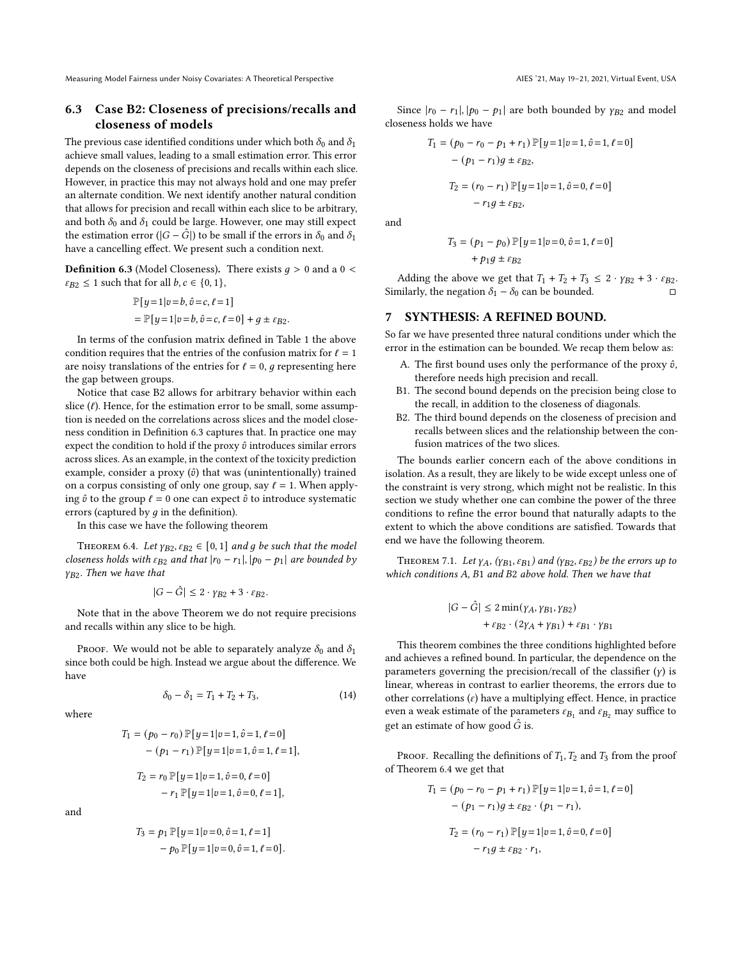Measuring Model Fairness under Noisy Covariates: A Theoretical Perspective AIES '21, May 19-21, 2021, Virtual Event, USA

# 6.3 Case B2: Closeness of precisions/recalls and closeness of models

The previous case identified conditions under which both  $\delta_0$  and  $\delta_1$ achieve small values, leading to a small estimation error. This error depends on the closeness of precisions and recalls within each slice. However, in practice this may not always hold and one may prefer an alternate condition. We next identify another natural condition that allows for precision and recall within each slice to be arbitrary, and both  $\delta_0$  and  $\delta_1$  could be large. However, one may still expect the estimation error ( $|G - \hat{G}|$ ) to be small if the errors in  $\delta_0$  and  $\delta_1$ have a cancelling effect. We present such a condition next.

<span id="page-6-2"></span>**Definition 6.3** (Model Closeness). There exists  $g > 0$  and a  $0 <$  $\varepsilon_{B2} \leq 1$  such that for all  $b, c \in \{0, 1\},$ 

$$
\mathbb{P}[y=1|v=b, \hat{v}=c, \ell=1]
$$
  
= 
$$
\mathbb{P}[y=1|v=b, \hat{v}=c, \ell=0] + g \pm \varepsilon_{B2}.
$$

In terms of the confusion matrix defined in Table [1](#page-3-1) the above condition requires that the entries of the confusion matrix for  $\ell = 1$ are noisy translations of the entries for  $l = 0$ , q representing here the gap between groups.

Notice that case B2 allows for arbitrary behavior within each slice  $(\ell)$ . Hence, for the estimation error to be small, some assumption is needed on the correlations across slices and the model closeness condition in Definition [6.3](#page-6-2) captures that. In practice one may expect the condition to hold if the proxy  $\hat{v}$  introduces similar errors across slices. As an example, in the context of the toxicity prediction example, consider a proxy  $(\hat{v})$  that was (unintentionally) trained on a corpus consisting of only one group, say  $\ell = 1$ . When applying  $\hat{v}$  to the group  $\ell = 0$  one can expect  $\hat{v}$  to introduce systematic errors (captured by  $q$  in the definition).

In this case we have the following theorem

<span id="page-6-3"></span>THEOREM 6.4. Let  $\gamma_{B2}, \varepsilon_{B2} \in [0, 1]$  and g be such that the model closeness holds with  $\varepsilon_{B2}$  and that  $|r_0 - r_1|, |p_0 - p_1|$  are bounded by  $\gamma_{B2}$ . Then we have that

$$
|G - \hat{G}| \le 2 \cdot \gamma_{B2} + 3 \cdot \varepsilon_{B2}.
$$

Note that in the above Theorem we do not require precisions and recalls within any slice to be high.

PROOF. We would not be able to separately analyze  $\delta_0$  and  $\delta_1$ since both could be high. Instead we argue about the difference. We have

 $\delta_0 - \delta_1 = T_1 + T_2 + T_3,$  (14)

where

$$
T_1 = (p_0 - r_0) \mathbb{P}[y=1|v=1, \hat{v}=1, \ell=0]
$$
  
-  $(p_1 - r_1) \mathbb{P}[y=1|v=1, \hat{v}=1, \ell=1],$   

$$
T_2 = r_0 \mathbb{P}[y=1|v=1, \hat{v}=0, \ell=0]
$$
  
-  $r_1 \mathbb{P}[y=1|v=1, \hat{v}=0, \ell=1],$ 

and

$$
T_3 = p_1 \mathbb{P}[y=1|v=0, \hat{v}=1, \ell=1] - p_0 \mathbb{P}[y=1|v=0, \hat{v}=1, \ell=0].
$$

Since  $|r_0 - r_1|, |p_0 - p_1|$  are both bounded by  $\gamma_{B2}$  and model closeness holds we have

$$
T_1 = (p_0 - r_0 - p_1 + r_1) \mathbb{P}[y=1|v=1, \hat{v}=1, \ell=0]
$$

$$
- (p_1 - r_1)g \pm \varepsilon_{B2},
$$

$$
T_2 = (r_0 - r_1) \mathbb{P}[y=1|v=1, \hat{v}=0, \ell=0]
$$

$$
- r_1g \pm \varepsilon_{B2},
$$

and

$$
T_3 = (p_1 - p_0) \mathbb{P}[y=1 | v=0, \hat{v}=1, \ell=0]
$$
  
+  $p_1 g \pm \varepsilon_{B2}$ 

Adding the above we get that  $T_1 + T_2 + T_3 \leq 2 \cdot \gamma_{B2} + 3 \cdot \varepsilon_{B2}$ . Similarly, the negation  $δ_1 − δ_0$  can be bounded. □

#### <span id="page-6-0"></span>7 SYNTHESIS: A REFINED BOUND.

So far we have presented three natural conditions under which the error in the estimation can be bounded. We recap them below as:

- A. The first bound uses only the performance of the proxy  $\hat{v}$ , therefore needs high precision and recall.
- B1. The second bound depends on the precision being close to the recall, in addition to the closeness of diagonals.
- B2. The third bound depends on the closeness of precision and recalls between slices and the relationship between the confusion matrices of the two slices.

The bounds earlier concern each of the above conditions in isolation. As a result, they are likely to be wide except unless one of the constraint is very strong, which might not be realistic. In this section we study whether one can combine the power of the three conditions to refine the error bound that naturally adapts to the extent to which the above conditions are satisfied. Towards that end we have the following theorem.

<span id="page-6-1"></span>THEOREM 7.1. Let  $\gamma_A$ ,  $(\gamma_{B1}, \varepsilon_{B1})$  and  $(\gamma_{B2}, \varepsilon_{B2})$  be the errors up to which conditions  $A$ ,  $B1$  and  $B2$  above hold. Then we have that

$$
|G - \hat{G}| \le 2 \min(\gamma_A, \gamma_{B1}, \gamma_{B2})
$$

$$
+ \varepsilon_{B2} \cdot (2\gamma_A + \gamma_{B1}) + \varepsilon_{B1} \cdot \gamma_{B1}
$$

This theorem combines the three conditions highlighted before and achieves a refined bound. In particular, the dependence on the parameters governing the precision/recall of the classifier  $(y)$  is linear, whereas in contrast to earlier theorems, the errors due to other correlations  $(\varepsilon)$  have a multiplying effect. Hence, in practice even a weak estimate of the parameters  $\varepsilon_{B_1}$  and  $\varepsilon_{B_2}$  may suffice to get an estimate of how good  $\hat{G}$  is.

PROOF. Recalling the definitions of  $T_1, T_2$  and  $T_3$  from the proof of Theorem [6.4](#page-6-3) we get that

$$
T_1 = (p_0 - r_0 - p_1 + r_1) \mathbb{P}[y=1|v=1, \hat{v}=1, \ell=0]
$$

$$
- (p_1 - r_1)g \pm \varepsilon_{B2} \cdot (p_1 - r_1),
$$

$$
T_2 = (r_0 - r_1) \mathbb{P}[y=1|v=1, \hat{v}=0, \ell=0]
$$

$$
-r_1 g \pm \varepsilon_{B2} \cdot r_1,
$$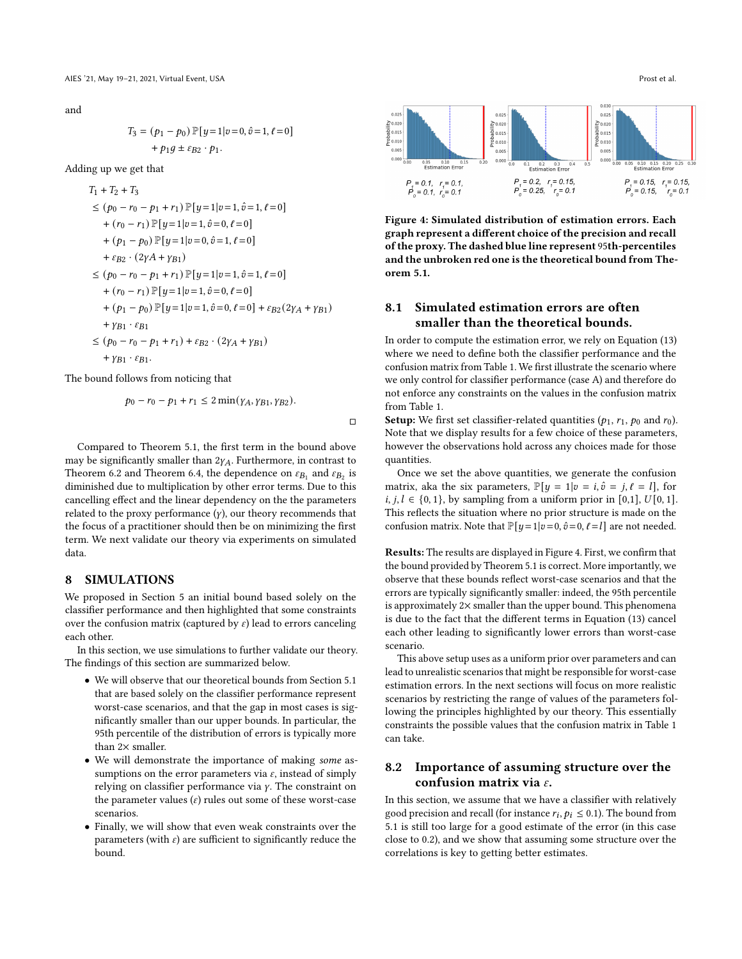and

$$
T_3 = (p_1 - p_0) \mathbb{P}[y=1|v=0, \hat{v}=1, \ell=0]
$$
  
+  $p_1 g \pm \varepsilon_{B2} \cdot p_1$ .

Adding up we get that

$$
T_1 + T_2 + T_3
$$
  
\n
$$
\leq (p_0 - r_0 - p_1 + r_1) \mathbb{P}[y = 1 | v = 1, \hat{v} = 1, \ell = 0]
$$
  
\n
$$
+ (r_0 - r_1) \mathbb{P}[y = 1 | v = 1, \hat{v} = 0, \ell = 0]
$$
  
\n
$$
+ (p_1 - p_0) \mathbb{P}[y = 1 | v = 0, \hat{v} = 1, \ell = 0]
$$
  
\n
$$
+ \varepsilon_{B2} \cdot (2\gamma A + \gamma_{B1})
$$
  
\n
$$
\leq (p_0 - r_0 - p_1 + r_1) \mathbb{P}[y = 1 | v = 1, \hat{v} = 1, \ell = 0]
$$
  
\n
$$
+ (r_0 - r_1) \mathbb{P}[y = 1 | v = 1, \hat{v} = 0, \ell = 0]
$$
  
\n
$$
+ (p_1 - p_0) \mathbb{P}[y = 1 | v = 1, \hat{v} = 0, \ell = 0] + \varepsilon_{B2} (2\gamma_A + \gamma_{B1})
$$
  
\n
$$
+ \gamma_{B1} \cdot \varepsilon_{B1}
$$
  
\n
$$
\leq (p_0 - r_0 - p_1 + r_1) + \varepsilon_{B2} \cdot (2\gamma_A + \gamma_{B1})
$$
  
\n
$$
+ \gamma_{B1} \cdot \varepsilon_{B1}.
$$

The bound follows from noticing that

$$
p_0 - r_0 - p_1 + r_1 \leq 2 \min(\gamma_A, \gamma_{B1}, \gamma_{B2}).
$$

□

Compared to Theorem [5.1,](#page-4-3) the first term in the bound above may be significantly smaller than  $2\gamma_A$ . Furthermore, in contrast to Theorem [6.2](#page-5-1) and Theorem [6.4,](#page-6-3) the dependence on  $\varepsilon_{B_1}$  and  $\varepsilon_{B_2}$  is diminished due to multiplication by other error terms. Due to this cancelling effect and the linear dependency on the the parameters related to the proxy performance  $(y)$ , our theory recommends that the focus of a practitioner should then be on minimizing the first term. We next validate our theory via experiments on simulated data.

## <span id="page-7-0"></span>8 SIMULATIONS

We proposed in Section [5](#page-4-0) an initial bound based solely on the classifier performance and then highlighted that some constraints over the confusion matrix (captured by  $\varepsilon$ ) lead to errors canceling each other.

In this section, we use simulations to further validate our theory. The findings of this section are summarized below.

- We will observe that our theoretical bounds from Section [5.1](#page-4-4) that are based solely on the classifier performance represent worst-case scenarios, and that the gap in most cases is significantly smaller than our upper bounds. In particular, the 95th percentile of the distribution of errors is typically more than  $2\times$  smaller.
- We will demonstrate the importance of making some assumptions on the error parameters via  $\varepsilon$ , instead of simply relying on classifier performance via  $\gamma$ . The constraint on the parameter values  $(\varepsilon)$  rules out some of these worst-case scenarios.
- Finally, we will show that even weak constraints over the parameters (with  $\varepsilon$ ) are sufficient to significantly reduce the bound.

<span id="page-7-1"></span>

Figure 4: Simulated distribution of estimation errors. Each graph represent a different choice of the precision and recall of the proxy. The dashed blue line represent 95th-percentiles and the unbroken red one is the theoretical bound from Theorem [5.1.](#page-4-3)

# 8.1 Simulated estimation errors are often smaller than the theoretical bounds.

In order to compute the estimation error, we rely on Equation [\(13\)](#page-4-5) where we need to define both the classifier performance and the confusion matrix from Table [1.](#page-3-1) We first illustrate the scenario where we only control for classifier performance (case A) and therefore do not enforce any constraints on the values in the confusion matrix from Table [1.](#page-3-1)

**Setup:** We first set classifier-related quantities ( $p_1$ ,  $r_1$ ,  $p_0$  and  $r_0$ ). Note that we display results for a few choice of these parameters, however the observations hold across any choices made for those quantities.

Once we set the above quantities, we generate the confusion matrix, aka the six parameters,  $\mathbb{P}[y = 1 | v = i, \hat{v} = j, \ell = l]$ , for  $i, j, l \in \{0, 1\}$ , by sampling from a uniform prior in [0,1],  $U[0, 1]$ . This reflects the situation where no prior structure is made on the confusion matrix. Note that  $\mathbb{P}[y=1|v=0,\hat{v}=0,\ell=l]$  are not needed.

Results: The results are displayed in Figure [4.](#page-7-1) First, we confirm that the bound provided by Theorem [5.1](#page-4-3) is correct. More importantly, we observe that these bounds reflect worst-case scenarios and that the errors are typically significantly smaller: indeed, the 95th percentile is approximately 2× smaller than the upper bound. This phenomena is due to the fact that the different terms in Equation [\(13\)](#page-4-5) cancel each other leading to significantly lower errors than worst-case scenario.

This above setup uses as a uniform prior over parameters and can lead to unrealistic scenarios that might be responsible for worst-case estimation errors. In the next sections will focus on more realistic scenarios by restricting the range of values of the parameters following the principles highlighted by our theory. This essentially constraints the possible values that the confusion matrix in Table [1](#page-3-1) can take.

## 8.2 Importance of assuming structure over the confusion matrix via  $\varepsilon$ .

In this section, we assume that we have a classifier with relatively good precision and recall (for instance  $r_i, p_i \leq 0.1$ ). The bound from [5.1](#page-4-3) is still too large for a good estimate of the error (in this case close to 0.2), and we show that assuming some structure over the correlations is key to getting better estimates.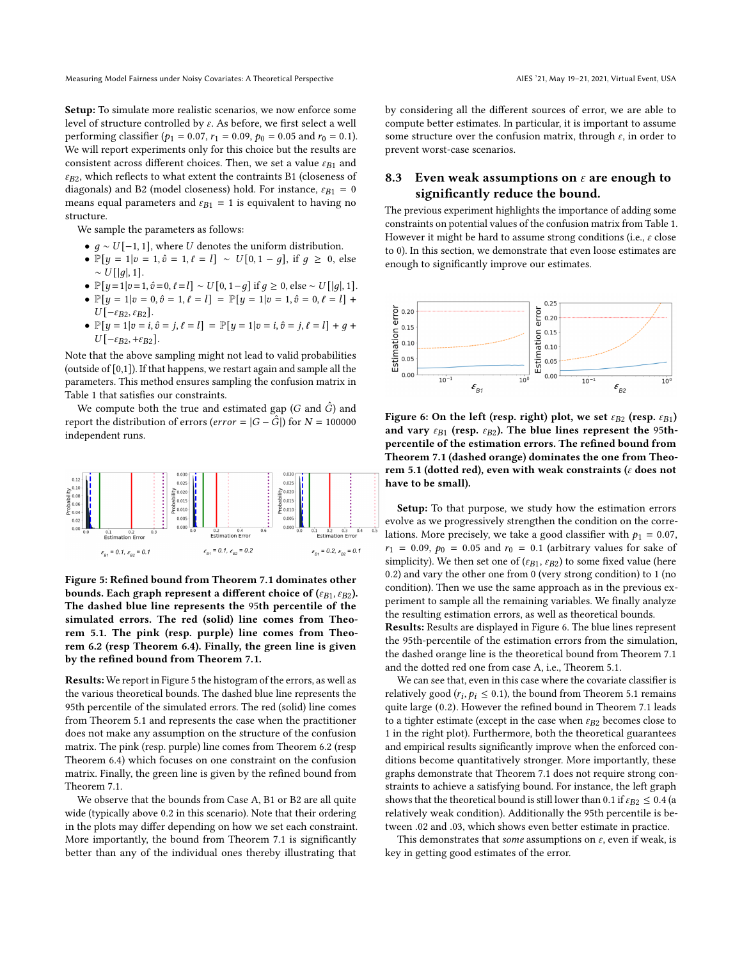Setup: To simulate more realistic scenarios, we now enforce some level of structure controlled by  $\varepsilon$ . As before, we first select a well performing classifier ( $p_1 = 0.07$ ,  $r_1 = 0.09$ ,  $p_0 = 0.05$  and  $r_0 = 0.1$ ). We will report experiments only for this choice but the results are consistent across different choices. Then, we set a value  $\varepsilon_{B1}$  and  $\varepsilon_{B2}$ , which reflects to what extent the contraints B1 (closeness of diagonals) and B2 (model closeness) hold. For instance,  $\varepsilon_{B1} = 0$ means equal parameters and  $\varepsilon_{B1} = 1$  is equivalent to having no structure.

We sample the parameters as follows:

- $q \sim U[-1, 1]$ , where U denotes the uniform distribution.
- $\mathbb{P}[y = 1 | v = 1, \hat{v} = 1, \ell = l] \sim U[0, 1 g]$ , if  $g \ge 0$ , else  $\sim U[|q|, 1].$
- $\mathbb{P}[y=1|v=1,\hat{v}=0,\ell=l] \sim U[0,1-g]$  if  $g \ge 0$ , else ~  $U[|g|, 1]$ .
- $\mathbb{P}[y = 1 | v = 0, \hat{v} = 1, \ell = l] = \mathbb{P}[y = 1 | v = 1, \hat{v} = 0, \ell = l]$  +  $U[-\varepsilon_{B2}, \varepsilon_{B2}].$
- $\mathbb{P}[y=1|v=i,\hat{v}=j,\ell=l] = \mathbb{P}[y=1|v=i,\hat{v}=j,\ell=l] + q +$  $U[-\varepsilon_{B2}, +\varepsilon_{B2}].$

Note that the above sampling might not lead to valid probabilities (outside of [0,1]). If that happens, we restart again and sample all the parameters. This method ensures sampling the confusion matrix in Table [1](#page-3-1) that satisfies our constraints.

We compute both the true and estimated gap  $(G \text{ and } G)$  and report the distribution of errors (*error* =  $|G - \hat{G}|$ ) for  $N = 100000$ independent runs.

<span id="page-8-0"></span>

Figure 5: Refined bound from Theorem [7.1](#page-6-1) dominates other bounds. Each graph represent a different choice of ( $\varepsilon_{B1}, \varepsilon_{B2}$ ). The dashed blue line represents the 95th percentile of the simulated errors. The red (solid) line comes from Theorem [5.1.](#page-4-3) The pink (resp. purple) line comes from Theorem [6.2](#page-5-1) (resp Theorem [6.4\)](#page-6-3). Finally, the green line is given by the refined bound from Theorem [7.1.](#page-6-1)

Results: We report in Figure [5](#page-8-0) the histogram of the errors, as well as the various theoretical bounds. The dashed blue line represents the 95th percentile of the simulated errors. The red (solid) line comes from Theorem [5.1](#page-4-3) and represents the case when the practitioner does not make any assumption on the structure of the confusion matrix. The pink (resp. purple) line comes from Theorem [6.2](#page-5-1) (resp Theorem [6.4\)](#page-6-3) which focuses on one constraint on the confusion matrix. Finally, the green line is given by the refined bound from Theorem [7.1.](#page-6-1)

We observe that the bounds from Case A, B1 or B2 are all quite wide (typically above 0.2 in this scenario). Note that their ordering in the plots may differ depending on how we set each constraint. More importantly, the bound from Theorem [7.1](#page-6-1) is significantly better than any of the individual ones thereby illustrating that

by considering all the different sources of error, we are able to compute better estimates. In particular, it is important to assume some structure over the confusion matrix, through  $\varepsilon$ , in order to prevent worst-case scenarios.

# 8.3 Even weak assumptions on  $\varepsilon$  are enough to significantly reduce the bound.

The previous experiment highlights the importance of adding some constraints on potential values of the confusion matrix from Table [1.](#page-3-1) However it might be hard to assume strong conditions (i.e.,  $\varepsilon$  close to 0). In this section, we demonstrate that even loose estimates are enough to significantly improve our estimates.

<span id="page-8-1"></span>

Figure 6: On the left (resp. right) plot, we set  $\varepsilon_{B2}$  (resp.  $\varepsilon_{B1}$ ) and vary  $\varepsilon_{B1}$  (resp.  $\varepsilon_{B2}$ ). The blue lines represent the 95thpercentile of the estimation errors. The refined bound from Theorem [7.1](#page-6-1) (dashed orange) dominates the one from Theo-rem [5.1](#page-4-3) (dotted red), even with weak constraints ( $\varepsilon$  does not have to be small).

Setup: To that purpose, we study how the estimation errors evolve as we progressively strengthen the condition on the correlations. More precisely, we take a good classifier with  $p_1 = 0.07$ ,  $r_1 = 0.09, p_0 = 0.05$  and  $r_0 = 0.1$  (arbitrary values for sake of simplicity). We then set one of ( $\varepsilon_{B1}, \varepsilon_{B2}$ ) to some fixed value (here 0.2) and vary the other one from 0 (very strong condition) to 1 (no condition). Then we use the same approach as in the previous experiment to sample all the remaining variables. We finally analyze the resulting estimation errors, as well as theoretical bounds.

Results: Results are displayed in Figure [6.](#page-8-1) The blue lines represent the 95th-percentile of the estimation errors from the simulation, the dashed orange line is the theoretical bound from Theorem [7.1](#page-6-1) and the dotted red one from case A, i.e., Theorem [5.1.](#page-4-3)

We can see that, even in this case where the covariate classifier is relatively good ( $r_i, p_i \leq 0.1$ ), the bound from Theorem [5.1](#page-4-3) remains quite large (0.2). However the refined bound in Theorem [7.1](#page-6-1) leads to a tighter estimate (except in the case when  $\varepsilon_{B2}$  becomes close to 1 in the right plot). Furthermore, both the theoretical guarantees and empirical results significantly improve when the enforced conditions become quantitatively stronger. More importantly, these graphs demonstrate that Theorem [7.1](#page-6-1) does not require strong constraints to achieve a satisfying bound. For instance, the left graph shows that the theoretical bound is still lower than 0.1 if  $\varepsilon_{B2} \leq 0.4$  (a relatively weak condition). Additionally the 95th percentile is between .02 and .03, which shows even better estimate in practice.

This demonstrates that some assumptions on  $\varepsilon$ , even if weak, is key in getting good estimates of the error.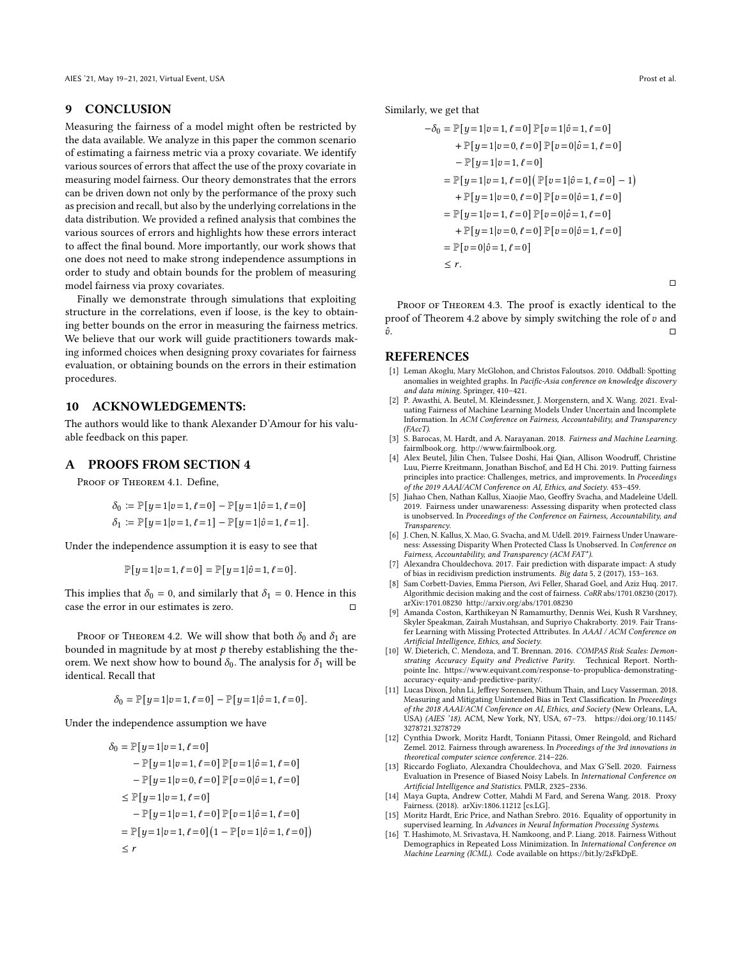#### <span id="page-9-12"></span>9 CONCLUSION

Measuring the fairness of a model might often be restricted by the data available. We analyze in this paper the common scenario of estimating a fairness metric via a proxy covariate. We identify various sources of errors that affect the use of the proxy covariate in measuring model fairness. Our theory demonstrates that the errors can be driven down not only by the performance of the proxy such as precision and recall, but also by the underlying correlations in the data distribution. We provided a refined analysis that combines the various sources of errors and highlights how these errors interact to affect the final bound. More importantly, our work shows that one does not need to make strong independence assumptions in order to study and obtain bounds for the problem of measuring model fairness via proxy covariates.

Finally we demonstrate through simulations that exploiting structure in the correlations, even if loose, is the key to obtaining better bounds on the error in measuring the fairness metrics. We believe that our work will guide practitioners towards making informed choices when designing proxy covariates for fairness evaluation, or obtaining bounds on the errors in their estimation procedures.

## 10 ACKNOWLEDGEMENTS:

The authors would like to thank Alexander D'Amour for his valuable feedback on this paper.

#### A PROOFS FROM SECTION [4](#page-3-0)

PROOF OF THEOREM [4.1.](#page-3-7) Define,

$$
\delta_0 := \mathbb{P}[y=1|v=1,\ell=0] - \mathbb{P}[y=1|\hat{v}=1,\ell=0]
$$
  

$$
\delta_1 := \mathbb{P}[y=1|v=1,\ell=1] - \mathbb{P}[y=1|\hat{v}=1,\ell=1].
$$

Under the independence assumption it is easy to see that

$$
\mathbb{P}[y=1|v=1,\ell=0] = \mathbb{P}[y=1|\hat{v}=1,\ell=0].
$$

This implies that  $\delta_0 = 0$ , and similarly that  $\delta_1 = 0$ . Hence in this case the error in our estimates is zero.

PROOF OF THEOREM [4.2.](#page-3-4) We will show that both  $\delta_0$  and  $\delta_1$  are bounded in magnitude by at most  $p$  thereby establishing the theorem. We next show how to bound  $\delta_0$ . The analysis for  $\delta_1$  will be identical. Recall that

$$
\delta_0 = \mathbb{P}[y=1|v=1, \ell=0] - \mathbb{P}[y=1|\hat{v}=1, \ell=0].
$$

Under the independence assumption we have

$$
\delta_0 = \mathbb{P}[y=1|v=1, \ell=0]
$$
  
\n
$$
-\mathbb{P}[y=1|v=1, \ell=0] \mathbb{P}[v=1|\hat{v}=1, \ell=0]
$$
  
\n
$$
-\mathbb{P}[y=1|v=0, \ell=0] \mathbb{P}[v=0|\hat{v}=1, \ell=0]
$$
  
\n
$$
\leq \mathbb{P}[y=1|v=1, \ell=0]
$$
  
\n
$$
-\mathbb{P}[y=1|v=1, \ell=0] \mathbb{P}[v=1|\hat{v}=1, \ell=0]
$$
  
\n
$$
=\mathbb{P}[y=1|v=1, \ell=0] (1-\mathbb{P}[v=1|\hat{v}=1, \ell=0])
$$
  
\n
$$
\leq r
$$

Similarly, we get that

$$
-\delta_0 = \mathbb{P}[y=1|v=1, \ell=0] \mathbb{P}[v=1|\hat{v}=1, \ell=0]
$$
  
+  $\mathbb{P}[y=1|v=0, \ell=0] \mathbb{P}[v=0|\hat{v}=1, \ell=0]$   
-  $\mathbb{P}[y=1|v=1, \ell=0]$   
=  $\mathbb{P}[y=1|v=1, \ell=0] \mathbb{P}[v=1|\hat{v}=1, \ell=0]-1$   
+  $\mathbb{P}[y=1|v=0, \ell=0] \mathbb{P}[v=0|\hat{v}=1, \ell=0]$   
=  $\mathbb{P}[y=1|v=1, \ell=0] \mathbb{P}[v=0|\hat{v}=1, \ell=0]$   
+  $\mathbb{P}[y=1|v=0, \ell=0] \mathbb{P}[v=0|\hat{v}=1, \ell=0]$   
=  $\mathbb{P}[v=0|\hat{v}=1, \ell=0]$   
 $\leq r$ .

PROOF OF THEOREM [4.3.](#page-4-6) The proof is exactly identical to the proof of Theorem [4.2](#page-3-4) above by simply switching the role of  $v$  and  $\hat{v}$ .

#### REFERENCES

- <span id="page-9-3"></span>[1] Leman Akoglu, Mary McGlohon, and Christos Faloutsos. 2010. Oddball: Spotting anomalies in weighted graphs. In Pacific-Asia conference on knowledge discovery and data mining. Springer, 410–421.
- <span id="page-9-10"></span>[2] P. Awasthi, A. Beutel, M. Kleindessner, J. Morgenstern, and X. Wang. 2021. Evaluating Fairness of Machine Learning Models Under Uncertain and Incomplete Information. In ACM Conference on Fairness, Accountability, and Transparency (FAccT).
- <span id="page-9-4"></span>[3] S. Barocas, M. Hardt, and A. Narayanan. 2018. Fairness and Machine Learning. fairmlbook.org. [http://www.fairmlbook.org.](http://www.fairmlbook.org) [4] Alex Beutel, Jilin Chen, Tulsee Doshi, Hai Qian, Allison Woodruff, Christine
- <span id="page-9-7"></span>Luu, Pierre Kreitmann, Jonathan Bischof, and Ed H Chi. 2019. Putting fairness principles into practice: Challenges, metrics, and improvements. In Proceedings of the 2019 AAAI/ACM Conference on AI, Ethics, and Society. 453–459.
- <span id="page-9-11"></span>[5] Jiahao Chen, Nathan Kallus, Xiaojie Mao, Geoffry Svacha, and Madeleine Udell. 2019. Fairness under unawareness: Assessing disparity when protected class is unobserved. In Proceedings of the Conference on Fairness, Accountability, and Transparency.
- <span id="page-9-13"></span>[6] J. Chen, N. Kallus, X. Mao, G. Svacha, and M. Udell. 2019. Fairness Under Unawareness: Assessing Disparity When Protected Class Is Unobserved. In Conference on Fairness, Accountability, and Transparency (ACM FAT\*).
- <span id="page-9-0"></span>[7] Alexandra Chouldechova. 2017. Fair prediction with disparate impact: A study of bias in recidivism prediction instruments. Big data 5, 2 (2017), 153–163.
- <span id="page-9-8"></span>Sam Corbett-Davies, Emma Pierson, Avi Feller, Sharad Goel, and Aziz Huq. 2017. Algorithmic decision making and the cost of fairness. CoRR abs/1701.08230 (2017). arXiv[:1701.08230](https://arxiv.org/abs/1701.08230)<http://arxiv.org/abs/1701.08230>
- <span id="page-9-16"></span>[9] Amanda Coston, Karthikeyan N Ramamurthy, Dennis Wei, Kush R Varshney, Skyler Speakman, Zairah Mustahsan, and Supriyo Chakraborty. 2019. Fair Transfer Learning with Missing Protected Attributes. In AAAI / ACM Conference on Artificial Intelligence, Ethics, and Society.
- <span id="page-9-1"></span>[10] W. Dieterich, C. Mendoza, and T. Brennan. 2016. COMPAS Risk Scales: Demonstrating Accuracy Equity and Predictive Parity. Technical Report. Northpointe Inc. [https://www.equivant.com/response-to-propublica-demonstrating](https://www.equivant.com/response-to-propublica-demonstrating-accuracy-equity-and-predictive-parity/)[accuracy-equity-and-predictive-parity/.](https://www.equivant.com/response-to-propublica-demonstrating-accuracy-equity-and-predictive-parity/)
- <span id="page-9-2"></span>[11] Lucas Dixon, John Li, Jeffrey Sorensen, Nithum Thain, and Lucy Vasserman. 2018. Measuring and Mitigating Unintended Bias in Text Classification. In Proceedings of the 2018 AAAI/ACM Conference on AI, Ethics, and Society (New Orleans, LA, USA) (AIES '18). ACM, New York, NY, USA, 67–73. [https://doi.org/10.1145/](https://doi.org/10.1145/3278721.3278729) [3278721.3278729](https://doi.org/10.1145/3278721.3278729)
- <span id="page-9-5"></span>[12] Cynthia Dwork, Moritz Hardt, Toniann Pitassi, Omer Reingold, and Richard Zemel. 2012. Fairness through awareness. In Proceedings of the 3rd innovations in theoretical computer science conference. 214–226.
- <span id="page-9-9"></span>[13] Riccardo Fogliato, Alexandra Chouldechova, and Max G'Sell. 2020. Fairness Evaluation in Presence of Biased Noisy Labels. In International Conference on Artificial Intelligence and Statistics. PMLR, 2325–2336.
- <span id="page-9-14"></span>[14] Maya Gupta, Andrew Cotter, Mahdi M Fard, and Serena Wang. 2018. Proxy Fairness. (2018). arXiv:1806.11212 [cs.LG].
- <span id="page-9-6"></span>[15] Moritz Hardt, Eric Price, and Nathan Srebro. 2016. Equality of opportunity in supervised learning. In Advances in Neural Information Processing Systems.
- <span id="page-9-15"></span>[16] T. Hashimoto, M. Srivastava, H. Namkoong, and P. Liang. 2018. Fairness Without Demographics in Repeated Loss Minimization. In International Conference on Machine Learning (ICML). Code available on [https://bit.ly/2sFkDpE.](https://bit.ly/2sFkDpE)

 $\Box$